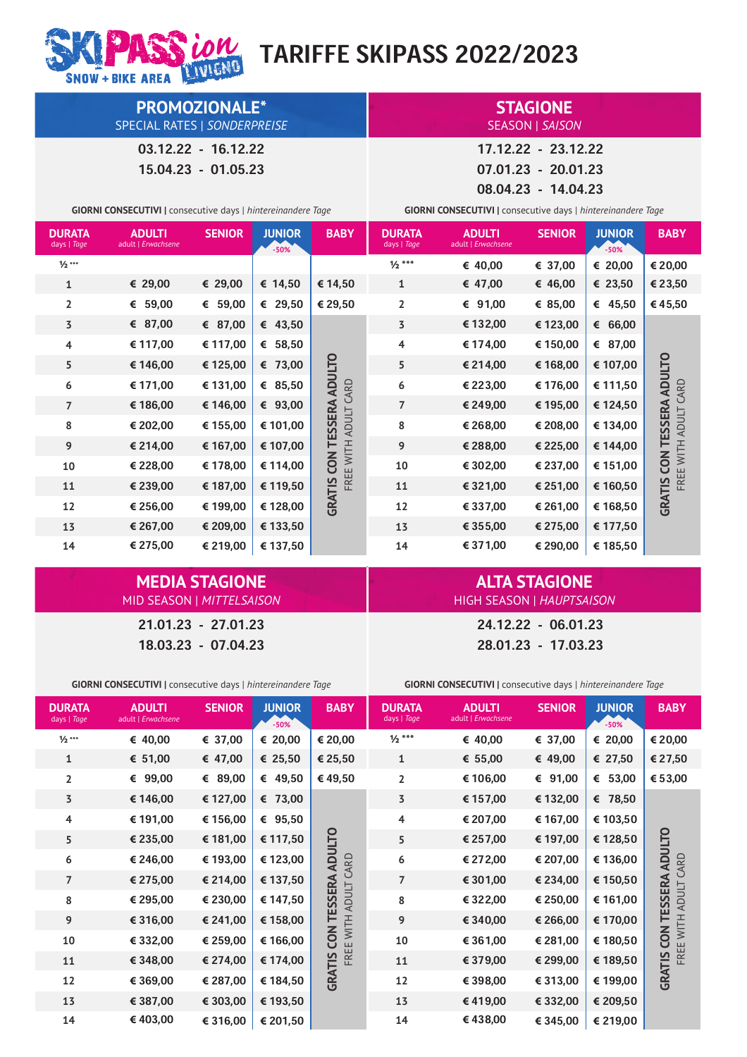# *LOW* TARIFFE SKIPASS 2022/2023

SNOW + BIKE AREA **PROMOZIONALE\***

SPECIAL RATES | *SONDERPREISE*

03.12.22 - 16.12.22

15.04.23 - 01.05.23

**GIORNI CONSECUTIVI |** consecutive days | *hintereina* 

**ADULTI**

**SENIOR**

**DURATA**

|                       |             | 08.04.23 - 14.04.23          |                                                                     |               |                          |   |  |  |
|-----------------------|-------------|------------------------------|---------------------------------------------------------------------|---------------|--------------------------|---|--|--|
| ntereinandere Tage    |             |                              | <b>GIORNI CONSECUTIVI</b>   consecutive days   hintereinandere Tage |               |                          |   |  |  |
| <b>JUNIOR</b><br>-50% | <b>BABY</b> | <b>DURATA</b><br>days   Tage | <b>ADULTI</b><br>adult   Erwachsene                                 | <b>SENIOR</b> | <b>JUNIOR</b><br>$-50\%$ | B |  |  |
|                       |             | -- - -                       |                                                                     |               |                          |   |  |  |

| days   Tage    | adult   Erwachsene |          | $-50%$    |                              | days   Tage    | adult   Erwachsene |          | $-50%$   |                                    |
|----------------|--------------------|----------|-----------|------------------------------|----------------|--------------------|----------|----------|------------------------------------|
| $1/2***$       |                    |          |           |                              | $1/2$ ***      | € 40,00            | € 37,00  | € 20,00  | € 20,00                            |
| $\mathbf{1}$   | € 29,00            | € 29,00  | € 14,50   | € 14,50                      | $\mathbf{1}$   | € 47,00            | € 46,00  | € 23,50  | € 23,50                            |
| $\overline{2}$ | € 59,00            | € 59,00  | € 29,50   | € 29,50                      | $\overline{2}$ | € 91,00            | € 85,00  | € 45,50  | € 45,50                            |
| 3              | € 87,00            | € 87,00  | € 43,50   |                              | $\overline{3}$ | € 132,00           | € 123,00 | € 66,00  |                                    |
| 4              | € 117,00           | € 117,00 | € $58,50$ |                              | 4              | € 174,00           | € 150,00 | € 87,00  |                                    |
| 5              | € 146,00           | € 125,00 | € 73,00   |                              | 5              | € 214,00           | € 168,00 | € 107,00 |                                    |
| 6              | € 171,00           | € 131,00 | € 85,50   | ADULTO<br>CARD               | 6              | € 223,00           | € 176,00 | € 111,50 | ADULTO<br>CARD                     |
| $\overline{7}$ | € 186,00           | € 146,00 | € 93,00   |                              | $\overline{7}$ | € 249,00           | € 195,00 | € 124,50 |                                    |
| 8              | € 202,00           | € 155,00 | € 101,00  | <b>TESSERA</b><br>WITH ADULT | 8              | € 268,00           | € 208,00 | € 134,00 | TESSERA<br>WITH ADULT              |
| 9              | € 214,00           | € 167,00 | € 107,00  |                              | 9              | € 288,00           | € 225,00 | € 144,00 |                                    |
| 10             | € 228,00           | € 178,00 | € 114,00  | <b>ZON</b>                   | $10\,$         | € 302,00           | € 237,00 | € 151,00 | <b>ZON</b>                         |
| 11             | € 239,00           | € 187,00 | € 119,50  | FREE                         | 11             | € 321,00           | € 251,00 | € 160,50 | FREE <sup>-</sup><br><b>GRATIS</b> |
| 12             | € 256,00           | € 199,00 | € 128,00  | <b>GRATIS</b>                | 12             | € 337,00           | € 261,00 | € 168,50 |                                    |
| 13             | € 267,00           | € 209,00 | € 133,50  |                              | 13             | € 355,00           | € 275,00 | € 177,50 |                                    |
| 14             | € 275,00           | € 219,00 | € 137,50  |                              | 14             | € 371,00           | € 290,00 | € 185,50 |                                    |

#### **ALTA STAGIONE** HIGH SEASON | *HAUPTSAISON*

**STAGIONE**

SEASON | *SAISON*

17.12.22 - 23.12.22 07.01.23 - 20.01.23

**BABY**

21.01.23 - 27.01.23 24.12.22 - 06.01.23

MID SEASON | *MITTELSAISON*

**MEDIA STAGIONE**

18.03.23 - 07.04.23 28.01.23 - 17.03.23

| <b>GIORNI CONSECUTIVI</b>   consecutive days   hintereinandere Tage |                                     |               | GIORNI CONSECUTIVI   consecutive days   hintereinandere Tage |                                 |                              |                                     |               |                         |                            |
|---------------------------------------------------------------------|-------------------------------------|---------------|--------------------------------------------------------------|---------------------------------|------------------------------|-------------------------------------|---------------|-------------------------|----------------------------|
| <b>DURATA</b><br>days   Tage                                        | <b>ADULTI</b><br>adult   Erwachsene | <b>SENIOR</b> | <b>JUNIOR</b><br>$-50%$                                      | <b>BABY</b>                     | <b>DURATA</b><br>days   Tage | <b>ADULTI</b><br>adult   Erwachsene | <b>SENIOR</b> | <b>JUNIOR</b><br>$-50%$ | <b>BABY</b>                |
| $1/2$ ***                                                           | € 40,00                             | € 37,00       | € 20,00                                                      | € 20,00                         | $1/2$ ***                    | € 40,00                             | € 37,00       | € 20,00                 | € 20,00                    |
| $\mathbf{1}$                                                        | € $51,00$                           | € 47,00       | € 25,50                                                      | € 25,50                         | $\mathbf{1}$                 | € $55,00$                           | € 49,00       | € 27,50                 | € 27,50                    |
| $\overline{2}$                                                      | € 99,00                             | € 89,00       | € 49,50                                                      | €49,50                          | $\overline{2}$               | € 106,00                            | € 91,00       | € $53,00$               | € 53,00                    |
| 3                                                                   | € 146,00                            | € 127,00      | € 73,00                                                      |                                 | 3                            | € 157,00                            | € 132,00      | € 78,50                 |                            |
| 4                                                                   | € 191,00                            | € 156,00      | € 95,50                                                      |                                 | 4                            | € 207,00                            | € 167,00      | € 103,50                |                            |
| 5                                                                   | € 235,00                            | € 181,00      | € 117,50                                                     |                                 | 5                            | € 257,00                            | € 197,00      | € 128,50                |                            |
| 6                                                                   | € 246,00                            | € 193,00      | € 123,00                                                     | <b>ADULTO</b>                   | 6                            | € 272,00                            | € 207,00      | € 136,00                | <b>ADULTO</b><br>CARD      |
| $\overline{7}$                                                      | € 275,00                            | € 214,00      | € 137,50                                                     |                                 | $\overline{7}$               | € 301,00                            | € 234,00      | € 150,50                |                            |
| 8                                                                   | € 295,00                            | € 230,00      | € 147,50                                                     | FREE WITH ADULT CARD<br>TESSERA | 8                            | € 322,00                            | € 250,00      | € 161,00                | TESSERA<br>FREE WITH ADULT |
| 9                                                                   | € 316,00                            | € 241,00      | € 158,00                                                     |                                 | 9                            | € 340,00                            | € 266,00      | € 170,00                |                            |
| 10                                                                  | € 332,00                            | € 259,00      | € 166,00                                                     | <b>ZON</b>                      | 10                           | € 361,00                            | € 281,00      | € 180,50                | <b>ZON</b>                 |
| 11                                                                  | € 348,00                            | € 274,00      | € 174,00                                                     |                                 | 11                           | € 379,00                            | € 299,00      | € 189,50                |                            |
| 12                                                                  | € 369,00                            | € 287,00      | € 184,50                                                     | <b>GRATIS</b>                   | 12                           | € 398,00                            | € 313,00      | € 199,00                | <b>GRATIS</b>              |
| 13                                                                  | € 387,00                            | € 303,00      | € 193,50                                                     |                                 | 13                           | € 419,00                            | € 332,00      | € 209,50                |                            |
| 14                                                                  | € 403,00                            | € 316,00      | € 201,50                                                     |                                 | 14                           | €438,00                             | € 345,00      | € 219,00                |                            |